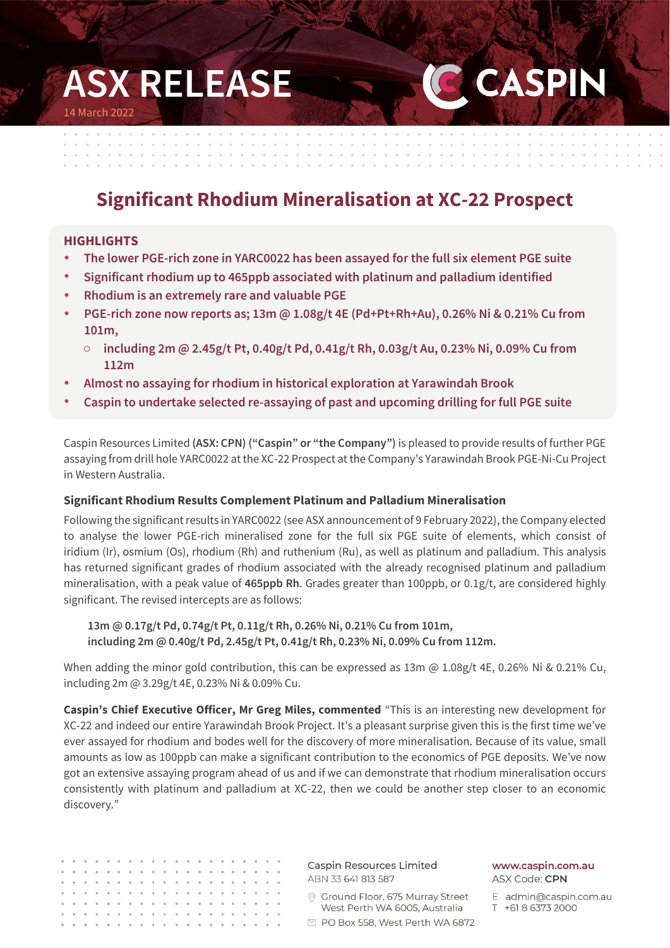# **ASX RELEASE**  14 March 2022

and a strained and

# **Significant Rhodium Mineralisation at XC-22 Prospect**

 $\alpha = \alpha = \alpha$ 

 $\sim$  $\sim$ 

### **HIGHLIGHTS**

- **The lower PGE-rich zone in YARC0022 has been assayed for the full six element PGE suite**
- **Significant rhodium up to 465ppb associated with platinum and palladium identified**
- **Rhodium is an extremely rare and valuable PGE**
- **PGE-rich zone now reports as; 13m @ 1.08g/t 4E (Pd+Pt+Rh+Au), 0.26% Ni & 0.21% Cu from 101m,** 
	- o **including 2m @ 2.45g/t Pt, 0.40g/t Pd, 0.41g/t Rh, 0.03g/t Au, 0.23% Ni, 0.09% Cu from 112m**
- **Almost no assaying for rhodium in historical exploration at Yarawindah Brook**
- **Caspin to undertake selected re-assaying of past and upcoming drilling for full PGE suite**

Caspin Resources Limited **(ASX: CPN) ("Caspin" or "the Company")** is pleased to provide results of further PGE assaying from drill hole YARC0022 at the XC-22 Prospect at the Company's Yarawindah Brook PGE-Ni-Cu Project in Western Australia.

#### **Significant Rhodium Results Complement Platinum and Palladium Mineralisation**

Following the significant results in YARC0022 (see ASX announcement of 9 February 2022), the Company elected to analyse the lower PGE-rich mineralised zone for the full six PGE suite of elements, which consist of iridium (Ir), osmium (Os), rhodium (Rh) and ruthenium (Ru), as well as platinum and palladium. This analysis has returned significant grades of rhodium associated with the already recognised platinum and palladium mineralisation, with a peak value of **465ppb Rh**. Grades greater than 100ppb, or 0.1g/t, are considered highly significant. The revised intercepts are as follows:

**13m @ 0.17g/t Pd, 0.74g/t Pt, 0.11g/t Rh, 0.26% Ni, 0.21% Cu from 101m, including 2m @ 0.40g/t Pd, 2.45g/t Pt, 0.41g/t Rh, 0.23% Ni, 0.09% Cu from 112m.**

When adding the minor gold contribution, this can be expressed as  $13m \omega 1.08g/t$  4E, 0.26% Ni & 0.21% Cu, including 2m @ 3.29g/t 4E, 0.23% Ni & 0.09% Cu.

**Caspin's Chief Executive Officer, Mr Greg Miles, commented** "This is an interesting new development for XC-22 and indeed our entire Yarawindah Brook Project. It's a pleasant surprise given this is the first time we've ever assayed for rhodium and bodes well for the discovery of more mineralisation. Because of its value, small amounts as low as 100ppb can make a significant contribution to the economics of PGE deposits. We've now got an extensive assaying program ahead of us and if we can demonstrate that rhodium mineralisation occurs consistently with platinum and palladium at XC-22, then we could be another step closer to an economic discovery."

Caspin Resources Limited ABN 33 641 813 587  $\begin{array}{cccccccccccccc} 0 & 0 & 0 & 0 & 0 \end{array}$ © Ground Floor, 675 Murray Street  $\alpha$ West Perth WA 6005, Australia □ PO Box 558, West Perth WA 6872

www.caspin.com.au ASX Code: CPN

**CASPIN** 

the contract of the contract of the contract of the contract of the contract of the contract of the contract of

E admin@caspin.com.au T +61 8 6373 2000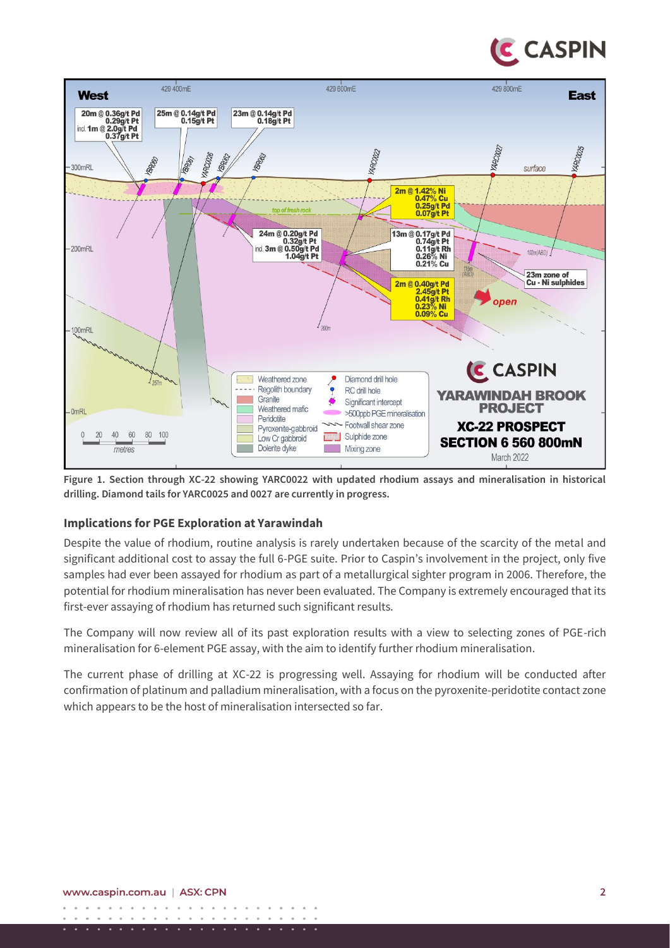



**Figure 1. Section through XC-22 showing YARC0022 with updated rhodium assays and mineralisation in historical drilling. Diamond tails for YARC0025 and 0027 are currently in progress.**

### **Implications for PGE Exploration at Yarawindah**

Despite the value of rhodium, routine analysis is rarely undertaken because of the scarcity of the metal and significant additional cost to assay the full 6-PGE suite. Prior to Caspin's involvement in the project, only five samples had ever been assayed for rhodium as part of a metallurgical sighter program in 2006. Therefore, the potential for rhodium mineralisation has never been evaluated. The Company is extremely encouraged that its first-ever assaying of rhodium has returned such significant results.

The Company will now review all of its past exploration results with a view to selecting zones of PGE-rich mineralisation for 6-element PGE assay, with the aim to identify further rhodium mineralisation.

The current phase of drilling at XC-22 is progressing well. Assaying for rhodium will be conducted after confirmation of platinum and palladium mineralisation, with a focus on the pyroxenite-peridotite contact zone which appears to be the host of mineralisation intersected so far.

 $\ddot{\phantom{a}}$ 

 $\circ$  $\overline{\phantom{a}}$ 

 $\sim$  $\overline{\phantom{a}}$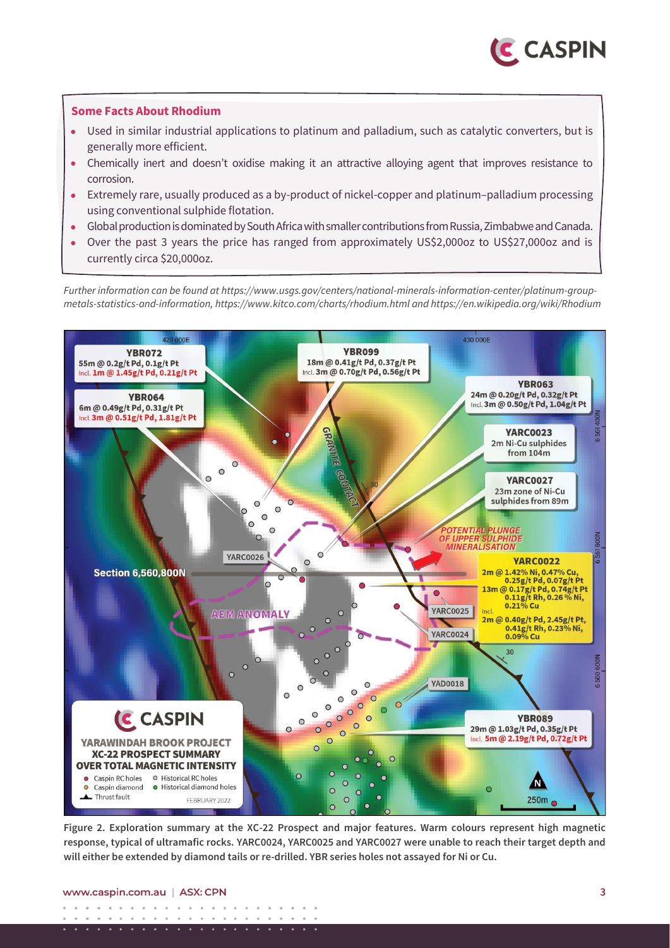

#### **Some Facts About Rhodium**

- Used in similar industrial applications to platinum and palladium, such as catalytic converters, but is generally more efficient.
- Chemically inert and doesn't oxidise making it an attractive alloying agent that improves resistance to corrosion.
- Extremely rare, usually produced as a by-product of nickel-copper and platinum–palladium processing using conventional sulphide flotation.
- Global production is dominated by South Africa with smaller contributions from Russia, Zimbabwe and Canada.
- Over the past 3 years the price has ranged from approximately US\$2,000oz to US\$27,000oz and is currently circa \$20,000oz.

*Further information can be found at https://www.usgs.gov/centers/national-minerals-information-center/platinum-groupmetals-statistics-and-information, https://www.kitco.com/charts/rhodium.html and https://en.wikipedia.org/wiki/Rhodium* 



**Figure 2. Exploration summary at the XC-22 Prospect and major features. Warm colours represent high magnetic response, typical of ultramafic rocks. YARC0024, YARC0025 and YARC0027 were unable to reach their target depth and will either be extended by diamond tails or re-drilled. YBR series holes not assayed for Ni or Cu.**

#### www.caspin.com.au | ASX: CPN

 $\sim$  $\sim$   $\sim$  $\sim$  $\sim$  $\sim$   $\sim$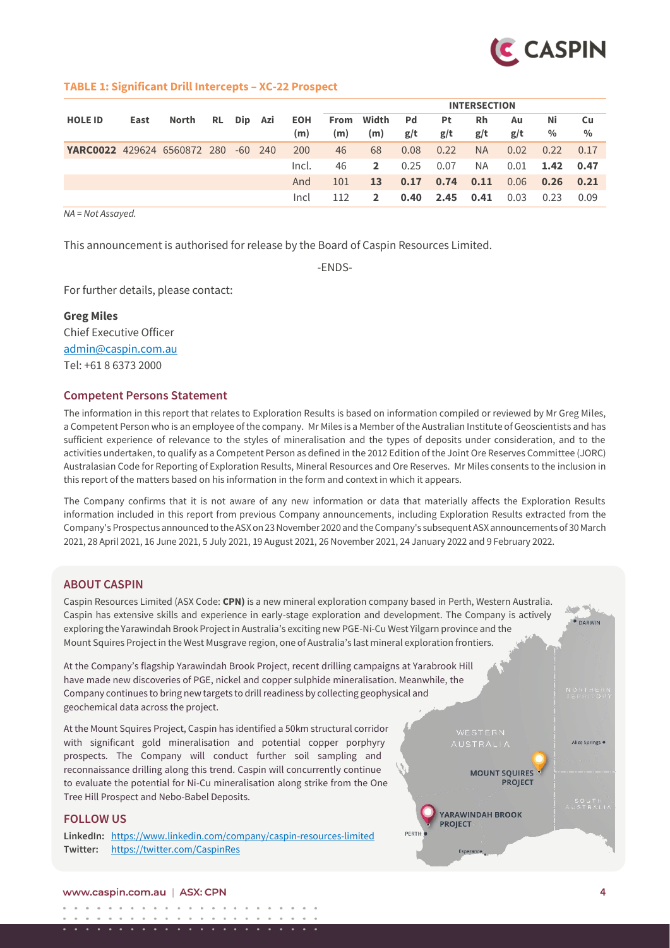

#### **TABLE 1: Significant Drill Intercepts – XC-22 Prospect**

|                                    |      |       |           |            |       |     |              |           |           | <b>INTERSECTION</b> |      |               |               |
|------------------------------------|------|-------|-----------|------------|-------|-----|--------------|-----------|-----------|---------------------|------|---------------|---------------|
| <b>HOLE ID</b>                     | East | North |           | RL Dip Azi | EOH   |     | From Width   | <b>Pd</b> | <b>Pt</b> | <b>Rh</b>           | Au   | Νi            | Cu            |
|                                    |      |       |           |            | (m)   | (m) | (m)          | g/t       | g/t       | g/t                 | g/t  | $\frac{0}{0}$ | $\frac{0}{0}$ |
| <b>YARC0022</b> 429624 6560872 280 |      |       | $-60$ 240 |            | 200   | 46  | 68           | 0.08      | 0.22      | <b>NA</b>           | 0.02 | 0.22          | 0.17          |
|                                    |      |       |           |            | Incl. | 46  | $2^{\circ}$  | 0.25      | 0.07      | NA.                 | 0.01 | 1.42 0.47     |               |
|                                    |      |       |           |            | And   | 101 | <b>13</b>    | 0.17      | 0.74      | 0.11                | 0.06 | 0.26          | 0.21          |
|                                    |      |       |           |            | Incl  |     | $\mathbf{2}$ | 0.40      | 2.45      | 0.41                | 0.03 | 0.23          | 0.09          |

*NA = Not Assayed.*

This announcement is authorised for release by the Board of Caspin Resources Limited.

-ENDS-

For further details, please contact:

**Greg Miles**  Chief Executive Officer [admin@caspin.com.au](mailto:admin@caspin.com.au) Tel: +61 8 6373 2000

#### **Competent Persons Statement**

The information in this report that relates to Exploration Results is based on information compiled or reviewed by Mr Greg Miles, a Competent Person who is an employee of the company. Mr Miles is a Member of the Australian Institute of Geoscientists and has sufficient experience of relevance to the styles of mineralisation and the types of deposits under consideration, and to the activities undertaken, to qualify as a Competent Person as defined in the 2012 Edition of the Joint Ore Reserves Committee (JORC) Australasian Code for Reporting of Exploration Results, Mineral Resources and Ore Reserves. Mr Miles consents to the inclusion in this report of the matters based on his information in the form and context in which it appears.

The Company confirms that it is not aware of any new information or data that materially affects the Exploration Results information included in this report from previous Company announcements, including Exploration Results extracted from the Company's Prospectus announced to the ASX on 23 November 2020 and the Company's subsequent ASX announcements of 30 March 2021, 28 April 2021, 16 June 2021, 5 July 2021, 19 August 2021, 26 November 2021, 24 January 2022 and 9 February 2022.

#### **ABOUT CASPIN**

Caspin Resources Limited (ASX Code: **CPN)** is a new mineral exploration company based in Perth, Western Australia. Caspin has extensive skills and experience in early-stage exploration and development. The Company is actively exploring the Yarawindah Brook Project in Australia's exciting new PGE-Ni-Cu West Yilgarn province and the Mount Squires Project in the West Musgrave region, one of Australia's last mineral exploration frontiers.

At the Company's flagship Yarawindah Brook Project, recent drilling campaigns at Yarabrook Hill have made new discoveries of PGE, nickel and copper sulphide mineralisation. Meanwhile, the Company continues to bring new targets to drill readiness by collecting geophysical and geochemical data across the project.

At the Mount Squires Project, Caspin has identified a 50km structural corridor with significant gold mineralisation and potential copper porphyry prospects. The Company will conduct further soil sampling and reconnaissance drilling along this trend. Caspin will concurrently continue to evaluate the potential for Ni-Cu mineralisation along strike from the One Tree Hill Prospect and Nebo-Babel Deposits.

#### **FOLLOW US**

**LinkedIn:** <https://www.linkedin.com/company/caspin-resources-limited> **Twitter:** <https://twitter.com/CaspinRes>



بلاد مسير · DARWIN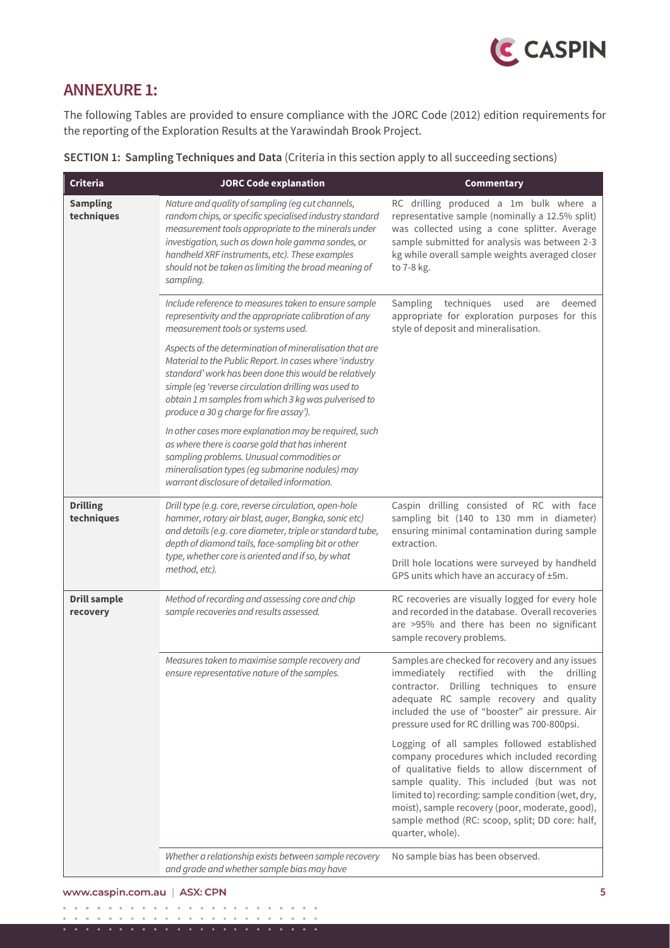

# **ANNEXURE 1:**

The following Tables are provided to ensure compliance with the JORC Code (2012) edition requirements for the reporting of the Exploration Results at the Yarawindah Brook Project.

| Criteria                        | <b>JORC Code explanation</b>                                                                                                                                                                                                                                                                                                                   | Commentary                                                                                                                                                                                                                                                                                                                                                                |
|---------------------------------|------------------------------------------------------------------------------------------------------------------------------------------------------------------------------------------------------------------------------------------------------------------------------------------------------------------------------------------------|---------------------------------------------------------------------------------------------------------------------------------------------------------------------------------------------------------------------------------------------------------------------------------------------------------------------------------------------------------------------------|
| <b>Sampling</b><br>techniques   | Nature and quality of sampling (eg cut channels,<br>random chips, or specific specialised industry standard<br>measurement tools appropriate to the minerals under<br>investigation, such as down hole gamma sondes, or<br>handheld XRF instruments, etc). These examples<br>should not be taken as limiting the broad meaning of<br>sampling. | RC drilling produced a 1m bulk where a<br>representative sample (nominally a 12.5% split)<br>was collected using a cone splitter. Average<br>sample submitted for analysis was between 2-3<br>kg while overall sample weights averaged closer<br>to 7-8 kg.                                                                                                               |
|                                 | Include reference to measures taken to ensure sample<br>representivity and the appropriate calibration of any<br>measurement tools or systems used.                                                                                                                                                                                            | techniques<br>used<br>deemed<br><b>Sampling</b><br>are<br>appropriate for exploration purposes for this<br>style of deposit and mineralisation.                                                                                                                                                                                                                           |
|                                 | Aspects of the determination of mineralisation that are<br>Material to the Public Report. In cases where 'industry<br>standard' work has been done this would be relatively<br>simple (eg 'reverse circulation drilling was used to<br>obtain 1 m samples from which 3 kg was pulverised to<br>produce a 30 g charge for fire assay').         |                                                                                                                                                                                                                                                                                                                                                                           |
|                                 | In other cases more explanation may be required, such<br>as where there is coarse gold that has inherent<br>sampling problems. Unusual commodities or<br>mineralisation types (eg submarine nodules) may<br>warrant disclosure of detailed information.                                                                                        |                                                                                                                                                                                                                                                                                                                                                                           |
| <b>Drilling</b><br>techniques   | Drill type (e.g. core, reverse circulation, open-hole<br>hammer, rotary air blast, auger, Bangka, sonic etc)<br>and details (e.g. core diameter, triple or standard tube,<br>depth of diamond tails, face-sampling bit or other<br>type, whether core is oriented and if so, by what                                                           | Caspin drilling consisted of RC with face<br>sampling bit (140 to 130 mm in diameter)<br>ensuring minimal contamination during sample<br>extraction.<br>Drill hole locations were surveyed by handheld                                                                                                                                                                    |
|                                 | method, etc).                                                                                                                                                                                                                                                                                                                                  | GPS units which have an accuracy of ±5m.                                                                                                                                                                                                                                                                                                                                  |
| <b>Drill sample</b><br>recovery | Method of recording and assessing core and chip<br>sample recoveries and results assessed.                                                                                                                                                                                                                                                     | RC recoveries are visually logged for every hole<br>and recorded in the database. Overall recoveries<br>are >95% and there has been no significant<br>sample recovery problems.                                                                                                                                                                                           |
|                                 | Measures taken to maximise sample recovery and<br>ensure representative nature of the samples.                                                                                                                                                                                                                                                 | Samples are checked for recovery and any issues<br>immediately<br>rectified with the drilling<br>contractor. Drilling techniques to ensure<br>adequate RC sample recovery and quality<br>included the use of "booster" air pressure. Air<br>pressure used for RC drilling was 700-800psi.                                                                                 |
|                                 |                                                                                                                                                                                                                                                                                                                                                | Logging of all samples followed established<br>company procedures which included recording<br>of qualitative fields to allow discernment of<br>sample quality. This included (but was not<br>limited to) recording: sample condition (wet, dry,<br>moist), sample recovery (poor, moderate, good),<br>sample method (RC: scoop, split; DD core: half,<br>quarter, whole). |
|                                 | Whether a relationship exists between sample recovery<br>and grade and whether sample bias may have                                                                                                                                                                                                                                            | No sample bias has been observed.                                                                                                                                                                                                                                                                                                                                         |

**SECTION 1: Sampling Techniques and Data** (Criteria in this section apply to all succeeding sections)

. . . . . . . . . . . . . . . . .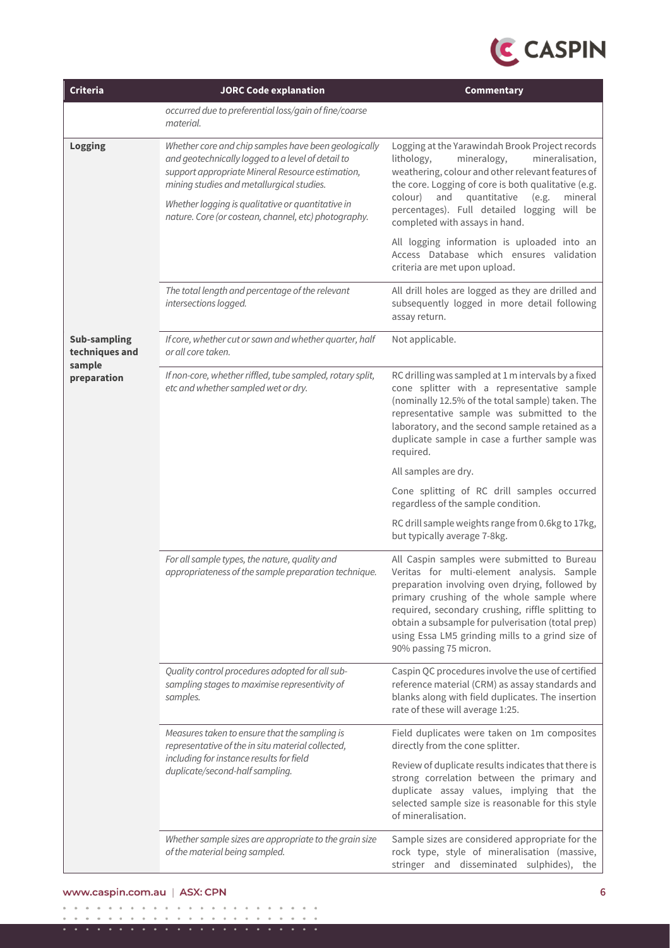

| Criteria                                        | <b>JORC Code explanation</b>                                                                                                                                                                                                                                                                                            | Commentary                                                                                                                                                                                                                                                                                                                                                                        |
|-------------------------------------------------|-------------------------------------------------------------------------------------------------------------------------------------------------------------------------------------------------------------------------------------------------------------------------------------------------------------------------|-----------------------------------------------------------------------------------------------------------------------------------------------------------------------------------------------------------------------------------------------------------------------------------------------------------------------------------------------------------------------------------|
|                                                 | occurred due to preferential loss/gain of fine/coarse<br>material.                                                                                                                                                                                                                                                      |                                                                                                                                                                                                                                                                                                                                                                                   |
| Logging                                         | Whether core and chip samples have been geologically<br>and geotechnically logged to a level of detail to<br>support appropriate Mineral Resource estimation,<br>mining studies and metallurgical studies.<br>Whether logging is qualitative or quantitative in<br>nature. Core (or costean, channel, etc) photography. | Logging at the Yarawindah Brook Project records<br>lithology,<br>mineralogy,<br>mineralisation,<br>weathering, colour and other relevant features of<br>the core. Logging of core is both qualitative (e.g.<br>and<br>quantitative<br>(e.g.<br>mineral<br>colour)<br>percentages). Full detailed logging will be<br>completed with assays in hand.                                |
|                                                 |                                                                                                                                                                                                                                                                                                                         | All logging information is uploaded into an<br>Access Database which ensures validation<br>criteria are met upon upload.                                                                                                                                                                                                                                                          |
|                                                 | The total length and percentage of the relevant<br>intersections logged.                                                                                                                                                                                                                                                | All drill holes are logged as they are drilled and<br>subsequently logged in more detail following<br>assay return.                                                                                                                                                                                                                                                               |
| <b>Sub-sampling</b><br>techniques and<br>sample | If core, whether cut or sawn and whether quarter, half<br>or all core taken.                                                                                                                                                                                                                                            | Not applicable.                                                                                                                                                                                                                                                                                                                                                                   |
| preparation                                     | If non-core, whether riffled, tube sampled, rotary split,<br>etc and whether sampled wet or dry.                                                                                                                                                                                                                        | RC drilling was sampled at 1 m intervals by a fixed<br>cone splitter with a representative sample<br>(nominally 12.5% of the total sample) taken. The<br>representative sample was submitted to the<br>laboratory, and the second sample retained as a<br>duplicate sample in case a further sample was<br>required.                                                              |
|                                                 |                                                                                                                                                                                                                                                                                                                         | All samples are dry.                                                                                                                                                                                                                                                                                                                                                              |
|                                                 |                                                                                                                                                                                                                                                                                                                         | Cone splitting of RC drill samples occurred<br>regardless of the sample condition.                                                                                                                                                                                                                                                                                                |
|                                                 |                                                                                                                                                                                                                                                                                                                         | RC drill sample weights range from 0.6kg to 17kg,<br>but typically average 7-8kg.                                                                                                                                                                                                                                                                                                 |
|                                                 | For all sample types, the nature, quality and<br>appropriateness of the sample preparation technique.                                                                                                                                                                                                                   | All Caspin samples were submitted to Bureau<br>Veritas for multi-element analysis. Sample<br>preparation involving oven drying, followed by<br>primary crushing of the whole sample where<br>required, secondary crushing, riffle splitting to<br>obtain a subsample for pulverisation (total prep)<br>using Essa LM5 grinding mills to a grind size of<br>90% passing 75 micron. |
|                                                 | Quality control procedures adopted for all sub-<br>sampling stages to maximise representivity of<br>samples.                                                                                                                                                                                                            | Caspin QC procedures involve the use of certified<br>reference material (CRM) as assay standards and<br>blanks along with field duplicates. The insertion<br>rate of these will average 1:25.                                                                                                                                                                                     |
|                                                 | Measures taken to ensure that the sampling is<br>representative of the in situ material collected,                                                                                                                                                                                                                      | Field duplicates were taken on 1m composites<br>directly from the cone splitter.                                                                                                                                                                                                                                                                                                  |
|                                                 | including for instance results for field<br>duplicate/second-half sampling.                                                                                                                                                                                                                                             | Review of duplicate results indicates that there is<br>strong correlation between the primary and<br>duplicate assay values, implying that the<br>selected sample size is reasonable for this style<br>of mineralisation.                                                                                                                                                         |
|                                                 | Whether sample sizes are appropriate to the grain size<br>of the material being sampled.                                                                                                                                                                                                                                | Sample sizes are considered appropriate for the<br>rock type, style of mineralisation (massive,<br>stringer and disseminated sulphides), the                                                                                                                                                                                                                                      |

#### www.caspin.com.au | ASX: CPN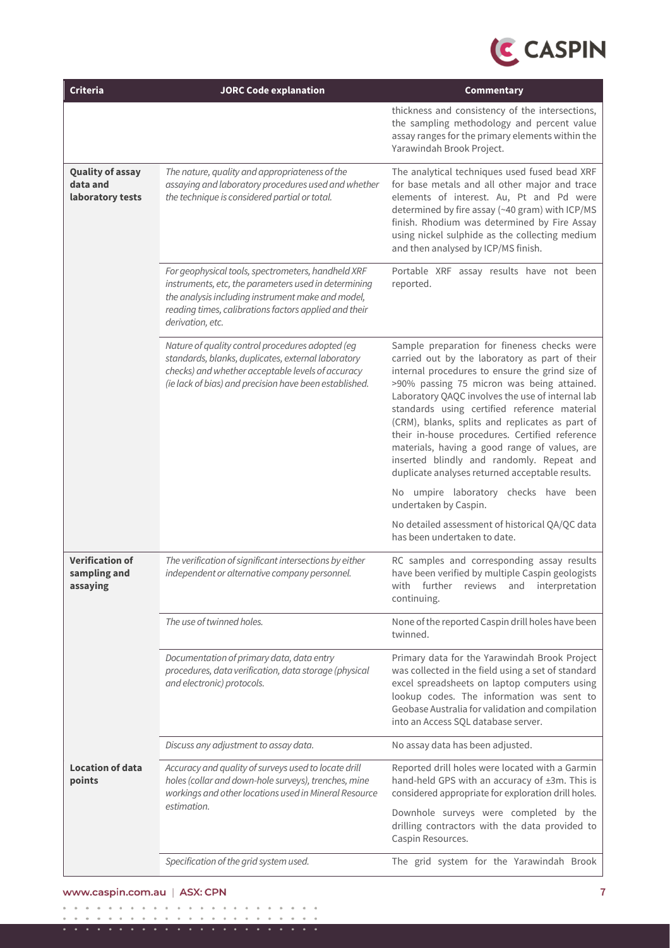

| <b>Criteria</b>                                         | <b>JORC Code explanation</b>                                                                                                                                                                                                                 | Commentary                                                                                                                                                                                                                                                                                                                                                                                                                                                                                                                                               |
|---------------------------------------------------------|----------------------------------------------------------------------------------------------------------------------------------------------------------------------------------------------------------------------------------------------|----------------------------------------------------------------------------------------------------------------------------------------------------------------------------------------------------------------------------------------------------------------------------------------------------------------------------------------------------------------------------------------------------------------------------------------------------------------------------------------------------------------------------------------------------------|
|                                                         |                                                                                                                                                                                                                                              | thickness and consistency of the intersections,<br>the sampling methodology and percent value<br>assay ranges for the primary elements within the<br>Yarawindah Brook Project.                                                                                                                                                                                                                                                                                                                                                                           |
| <b>Quality of assay</b><br>data and<br>laboratory tests | The nature, quality and appropriateness of the<br>assaying and laboratory procedures used and whether<br>the technique is considered partial or total.                                                                                       | The analytical techniques used fused bead XRF<br>for base metals and all other major and trace<br>elements of interest. Au, Pt and Pd were<br>determined by fire assay (~40 gram) with ICP/MS<br>finish. Rhodium was determined by Fire Assay<br>using nickel sulphide as the collecting medium<br>and then analysed by ICP/MS finish.                                                                                                                                                                                                                   |
|                                                         | For geophysical tools, spectrometers, handheld XRF<br>instruments, etc, the parameters used in determining<br>the analysis including instrument make and model,<br>reading times, calibrations factors applied and their<br>derivation, etc. | Portable XRF assay results have not been<br>reported.                                                                                                                                                                                                                                                                                                                                                                                                                                                                                                    |
|                                                         | Nature of quality control procedures adopted (eg<br>standards, blanks, duplicates, external laboratory<br>checks) and whether acceptable levels of accuracy<br>(ie lack of bias) and precision have been established.                        | Sample preparation for fineness checks were<br>carried out by the laboratory as part of their<br>internal procedures to ensure the grind size of<br>>90% passing 75 micron was being attained.<br>Laboratory QAQC involves the use of internal lab<br>standards using certified reference material<br>(CRM), blanks, splits and replicates as part of<br>their in-house procedures. Certified reference<br>materials, having a good range of values, are<br>inserted blindly and randomly. Repeat and<br>duplicate analyses returned acceptable results. |
|                                                         |                                                                                                                                                                                                                                              | No umpire laboratory checks have been<br>undertaken by Caspin.                                                                                                                                                                                                                                                                                                                                                                                                                                                                                           |
|                                                         |                                                                                                                                                                                                                                              | No detailed assessment of historical QA/QC data<br>has been undertaken to date.                                                                                                                                                                                                                                                                                                                                                                                                                                                                          |
| <b>Verification of</b><br>sampling and<br>assaying      | The verification of significant intersections by either<br>independent or alternative company personnel.                                                                                                                                     | RC samples and corresponding assay results<br>have been verified by multiple Caspin geologists<br>with<br>further<br>interpretation<br>reviews<br>and<br>continuing.                                                                                                                                                                                                                                                                                                                                                                                     |
|                                                         | The use of twinned holes.                                                                                                                                                                                                                    | None of the reported Caspin drill holes have been<br>twinned.                                                                                                                                                                                                                                                                                                                                                                                                                                                                                            |
|                                                         | Documentation of primary data, data entry<br>procedures, data verification, data storage (physical<br>and electronic) protocols.                                                                                                             | Primary data for the Yarawindah Brook Project<br>was collected in the field using a set of standard<br>excel spreadsheets on laptop computers using<br>lookup codes. The information was sent to<br>Geobase Australia for validation and compilation<br>into an Access SQL database server.                                                                                                                                                                                                                                                              |
|                                                         | Discuss any adjustment to assay data.                                                                                                                                                                                                        | No assay data has been adjusted.                                                                                                                                                                                                                                                                                                                                                                                                                                                                                                                         |
| <b>Location of data</b><br>points                       | Accuracy and quality of surveys used to locate drill<br>holes (collar and down-hole surveys), trenches, mine<br>workings and other locations used in Mineral Resource<br>estimation.                                                         | Reported drill holes were located with a Garmin<br>hand-held GPS with an accuracy of ±3m. This is<br>considered appropriate for exploration drill holes.<br>Downhole surveys were completed by the<br>drilling contractors with the data provided to<br>Caspin Resources.                                                                                                                                                                                                                                                                                |
|                                                         | Specification of the grid system used.                                                                                                                                                                                                       | The grid system for the Yarawindah Brook                                                                                                                                                                                                                                                                                                                                                                                                                                                                                                                 |
|                                                         |                                                                                                                                                                                                                                              |                                                                                                                                                                                                                                                                                                                                                                                                                                                                                                                                                          |

#### www.caspin.com.au | ASX: CPN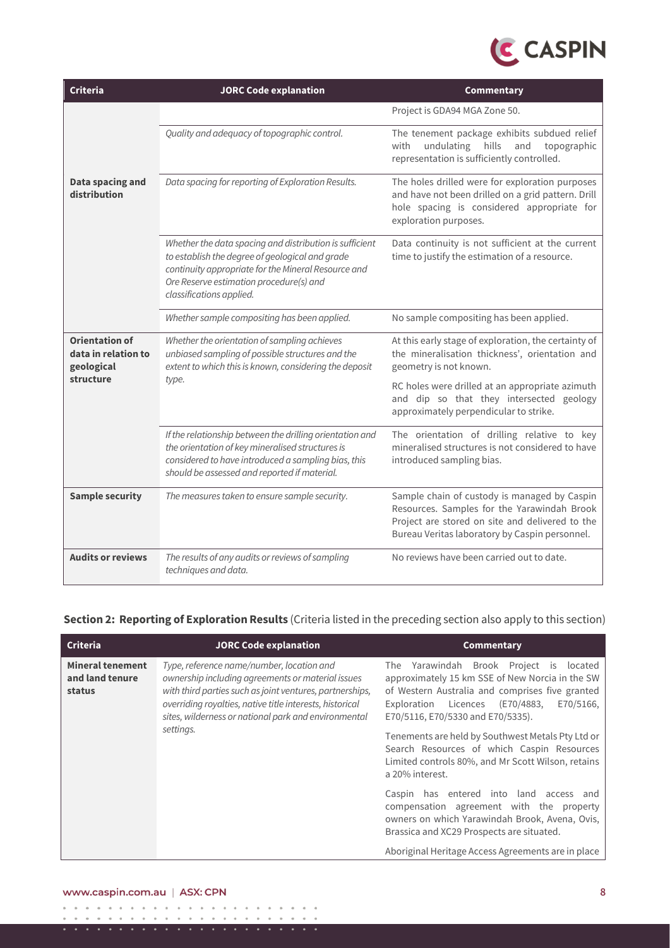

| <b>Criteria</b>                                                         | <b>JORC Code explanation</b>                                                                                                                                                                                                             | Commentary                                                                                                                                                                                       |
|-------------------------------------------------------------------------|------------------------------------------------------------------------------------------------------------------------------------------------------------------------------------------------------------------------------------------|--------------------------------------------------------------------------------------------------------------------------------------------------------------------------------------------------|
|                                                                         |                                                                                                                                                                                                                                          | Project is GDA94 MGA Zone 50.                                                                                                                                                                    |
|                                                                         | Quality and adequacy of topographic control.                                                                                                                                                                                             | The tenement package exhibits subdued relief<br>hills<br>with<br>undulating<br>and<br>topographic<br>representation is sufficiently controlled.                                                  |
| Data spacing and<br>distribution                                        | Data spacing for reporting of Exploration Results.                                                                                                                                                                                       | The holes drilled were for exploration purposes<br>and have not been drilled on a grid pattern. Drill<br>hole spacing is considered appropriate for<br>exploration purposes.                     |
|                                                                         | Whether the data spacing and distribution is sufficient<br>to establish the degree of geological and grade<br>continuity appropriate for the Mineral Resource and<br>Ore Reserve estimation procedure(s) and<br>classifications applied. | Data continuity is not sufficient at the current<br>time to justify the estimation of a resource.                                                                                                |
|                                                                         | Whether sample compositing has been applied.                                                                                                                                                                                             | No sample compositing has been applied.                                                                                                                                                          |
| <b>Orientation of</b><br>data in relation to<br>geological<br>structure | Whether the orientation of sampling achieves<br>unbiased sampling of possible structures and the<br>extent to which this is known, considering the deposit                                                                               | At this early stage of exploration, the certainty of<br>the mineralisation thickness', orientation and<br>geometry is not known.                                                                 |
|                                                                         | type.                                                                                                                                                                                                                                    | RC holes were drilled at an appropriate azimuth<br>and dip so that they intersected geology<br>approximately perpendicular to strike.                                                            |
|                                                                         | If the relationship between the drilling orientation and<br>the orientation of key mineralised structures is<br>considered to have introduced a sampling bias, this<br>should be assessed and reported if material.                      | The orientation of drilling relative to key<br>mineralised structures is not considered to have<br>introduced sampling bias.                                                                     |
| <b>Sample security</b>                                                  | The measures taken to ensure sample security.                                                                                                                                                                                            | Sample chain of custody is managed by Caspin<br>Resources. Samples for the Yarawindah Brook<br>Project are stored on site and delivered to the<br>Bureau Veritas laboratory by Caspin personnel. |
| <b>Audits or reviews</b>                                                | The results of any audits or reviews of sampling<br>techniques and data.                                                                                                                                                                 | No reviews have been carried out to date.                                                                                                                                                        |

## **Section 2: Reporting of Exploration Results** (Criteria listed in the preceding section also apply to this section)

| Criteria                                             | <b>JORC Code explanation</b>                                                                                                                                                                                                                                                   | Commentary                                                                                                                                                                                                                                  |
|------------------------------------------------------|--------------------------------------------------------------------------------------------------------------------------------------------------------------------------------------------------------------------------------------------------------------------------------|---------------------------------------------------------------------------------------------------------------------------------------------------------------------------------------------------------------------------------------------|
| <b>Mineral tenement</b><br>and land tenure<br>status | Type, reference name/number, location and<br>ownership including agreements or material issues<br>with third parties such as joint ventures, partnerships,<br>overriding royalties, native title interests, historical<br>sites, wilderness or national park and environmental | The Yarawindah Brook Project is<br>located<br>approximately 15 km SSE of New Norcia in the SW<br>of Western Australia and comprises five granted<br>E70/5166,<br>Licences<br>(E70/4883.<br>Exploration<br>E70/5116, E70/5330 and E70/5335). |
|                                                      | settings.                                                                                                                                                                                                                                                                      | Tenements are held by Southwest Metals Pty Ltd or<br>Search Resources of which Caspin Resources<br>Limited controls 80%, and Mr Scott Wilson, retains<br>a 20% interest.                                                                    |
|                                                      |                                                                                                                                                                                                                                                                                | Caspin has entered into land access<br>and<br>compensation agreement with the property<br>owners on which Yarawindah Brook, Avena, Ovis,<br>Brassica and XC29 Prospects are situated.                                                       |
|                                                      |                                                                                                                                                                                                                                                                                | Aboriginal Heritage Access Agreements are in place                                                                                                                                                                                          |

#### www.caspin.com.au | ASX: CPN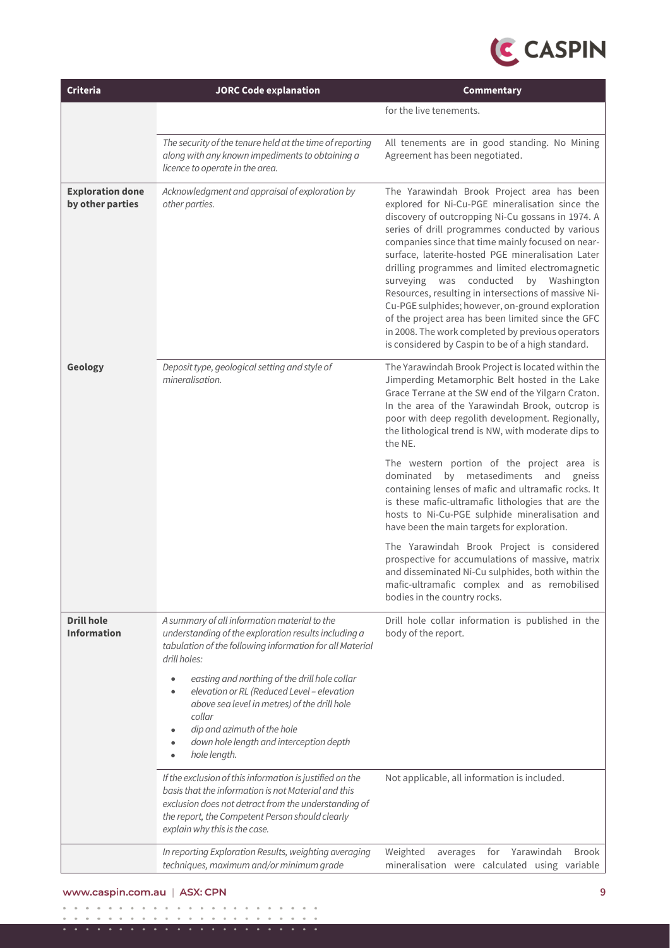

| Criteria                                    | <b>JORC Code explanation</b>                                                                                                                                                                                                                                                                                                                                                                                                                                                                         | Commentary                                                                                                                                                                                                                                                                                                                                                                                                                                                                                                                                                                                                                                                                                       |  |  |  |
|---------------------------------------------|------------------------------------------------------------------------------------------------------------------------------------------------------------------------------------------------------------------------------------------------------------------------------------------------------------------------------------------------------------------------------------------------------------------------------------------------------------------------------------------------------|--------------------------------------------------------------------------------------------------------------------------------------------------------------------------------------------------------------------------------------------------------------------------------------------------------------------------------------------------------------------------------------------------------------------------------------------------------------------------------------------------------------------------------------------------------------------------------------------------------------------------------------------------------------------------------------------------|--|--|--|
|                                             |                                                                                                                                                                                                                                                                                                                                                                                                                                                                                                      | for the live tenements.                                                                                                                                                                                                                                                                                                                                                                                                                                                                                                                                                                                                                                                                          |  |  |  |
|                                             | The security of the tenure held at the time of reporting<br>along with any known impediments to obtaining a<br>licence to operate in the area.                                                                                                                                                                                                                                                                                                                                                       | All tenements are in good standing. No Mining<br>Agreement has been negotiated.                                                                                                                                                                                                                                                                                                                                                                                                                                                                                                                                                                                                                  |  |  |  |
| <b>Exploration done</b><br>by other parties | Acknowledgment and appraisal of exploration by<br>other parties.                                                                                                                                                                                                                                                                                                                                                                                                                                     | The Yarawindah Brook Project area has been<br>explored for Ni-Cu-PGE mineralisation since the<br>discovery of outcropping Ni-Cu gossans in 1974. A<br>series of drill programmes conducted by various<br>companies since that time mainly focused on near-<br>surface, laterite-hosted PGE mineralisation Later<br>drilling programmes and limited electromagnetic<br>conducted<br>by Washington<br>surveying<br>was<br>Resources, resulting in intersections of massive Ni-<br>Cu-PGE sulphides; however, on-ground exploration<br>of the project area has been limited since the GFC<br>in 2008. The work completed by previous operators<br>is considered by Caspin to be of a high standard. |  |  |  |
| Geology                                     | Deposit type, geological setting and style of<br>mineralisation.                                                                                                                                                                                                                                                                                                                                                                                                                                     | The Yarawindah Brook Project is located within the<br>Jimperding Metamorphic Belt hosted in the Lake<br>Grace Terrane at the SW end of the Yilgarn Craton.<br>In the area of the Yarawindah Brook, outcrop is<br>poor with deep regolith development. Regionally,<br>the lithological trend is NW, with moderate dips to<br>the NE.<br>The western portion of the project area is<br>by metasediments and<br>dominated<br>gneiss<br>containing lenses of mafic and ultramafic rocks. It<br>is these mafic-ultramafic lithologies that are the<br>hosts to Ni-Cu-PGE sulphide mineralisation and<br>have been the main targets for exploration.                                                   |  |  |  |
|                                             |                                                                                                                                                                                                                                                                                                                                                                                                                                                                                                      | The Yarawindah Brook Project is considered<br>prospective for accumulations of massive, matrix<br>and disseminated Ni-Cu sulphides, both within the<br>mafic-ultramafic complex and as remobilised<br>bodies in the country rocks.                                                                                                                                                                                                                                                                                                                                                                                                                                                               |  |  |  |
| <b>Drill hole</b><br><b>Information</b>     | A summary of all information material to the<br>understanding of the exploration results including a<br>tabulation of the following information for all Material<br>drill holes:<br>easting and northing of the drill hole collar<br>$\bullet$<br>elevation or RL (Reduced Level - elevation<br>$\bullet$<br>above sea level in metres) of the drill hole<br>collar<br>dip and azimuth of the hole<br>$\bullet$<br>down hole length and interception depth<br>$\bullet$<br>hole length.<br>$\bullet$ | Drill hole collar information is published in the<br>body of the report.                                                                                                                                                                                                                                                                                                                                                                                                                                                                                                                                                                                                                         |  |  |  |
|                                             | If the exclusion of this information is justified on the<br>basis that the information is not Material and this<br>exclusion does not detract from the understanding of<br>the report, the Competent Person should clearly<br>explain why this is the case.                                                                                                                                                                                                                                          | Not applicable, all information is included.                                                                                                                                                                                                                                                                                                                                                                                                                                                                                                                                                                                                                                                     |  |  |  |
|                                             | In reporting Exploration Results, weighting averaging<br>techniques, maximum and/or minimum grade                                                                                                                                                                                                                                                                                                                                                                                                    | Weighted<br>Yarawindah<br>averages<br>for<br><b>Brook</b><br>mineralisation were calculated using variable                                                                                                                                                                                                                                                                                                                                                                                                                                                                                                                                                                                       |  |  |  |

#### www.caspin.com.au | ASX: CPN